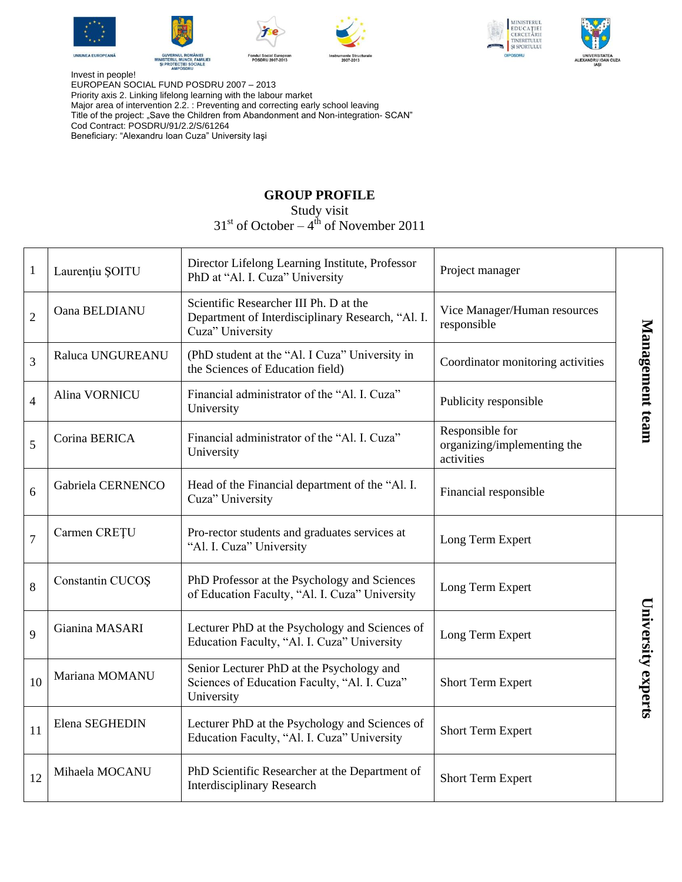











Invest in people! EUROPEAN SOCIAL FUND POSDRU 2007 – 2013 Priority axis 2. Linking lifelong learning with the labour market Major area of intervention 2.2. : Preventing and correcting early school leaving Title of the project: "Save the Children from Abandonment and Non-integration- SCAN" Cod Contract: POSDRU/91/2.2/S/61264 Beneficiary: "Alexandru Ioan Cuza" University Iaşi

## **GROUP PROFILE**

Study visit

 $31<sup>st</sup>$  of October –  $4<sup>th</sup>$  of November 2011

| $\mathbf{1}$   | Laurențiu ȘOITU   | Director Lifelong Learning Institute, Professor<br>PhD at "Al. I. Cuza" University                              | Project manager                                              |                    |
|----------------|-------------------|-----------------------------------------------------------------------------------------------------------------|--------------------------------------------------------------|--------------------|
| $\overline{2}$ | Oana BELDIANU     | Scientific Researcher III Ph. D at the<br>Department of Interdisciplinary Research, "Al. I.<br>Cuza" University | Vice Manager/Human resources<br>responsible                  |                    |
| 3              | Raluca UNGUREANU  | (PhD student at the "Al. I Cuza" University in<br>the Sciences of Education field)                              | Coordinator monitoring activities                            | Management team    |
| $\overline{4}$ | Alina VORNICU     | Financial administrator of the "Al. I. Cuza"<br>University                                                      | Publicity responsible                                        |                    |
| 5              | Corina BERICA     | Financial administrator of the "Al. I. Cuza"<br>University                                                      | Responsible for<br>organizing/implementing the<br>activities |                    |
| 6              | Gabriela CERNENCO | Head of the Financial department of the "Al. I.<br>Cuza" University                                             | Financial responsible                                        |                    |
| $\overline{7}$ | Carmen CREȚU      | Pro-rector students and graduates services at<br>"Al. I. Cuza" University                                       | Long Term Expert                                             |                    |
| 8              | Constantin CUCOŞ  | PhD Professor at the Psychology and Sciences<br>of Education Faculty, "Al. I. Cuza" University                  | Long Term Expert                                             |                    |
| 9              | Gianina MASARI    | Lecturer PhD at the Psychology and Sciences of<br>Education Faculty, "Al. I. Cuza" University                   | Long Term Expert                                             |                    |
| 10             | Mariana MOMANU    | Senior Lecturer PhD at the Psychology and<br>Sciences of Education Faculty, "Al. I. Cuza"<br>University         | <b>Short Term Expert</b>                                     | University experts |
| 11             | Elena SEGHEDIN    | Lecturer PhD at the Psychology and Sciences of<br>Education Faculty, "Al. I. Cuza" University                   | <b>Short Term Expert</b>                                     |                    |
| 12             | Mihaela MOCANU    | PhD Scientific Researcher at the Department of<br><b>Interdisciplinary Research</b>                             | <b>Short Term Expert</b>                                     |                    |